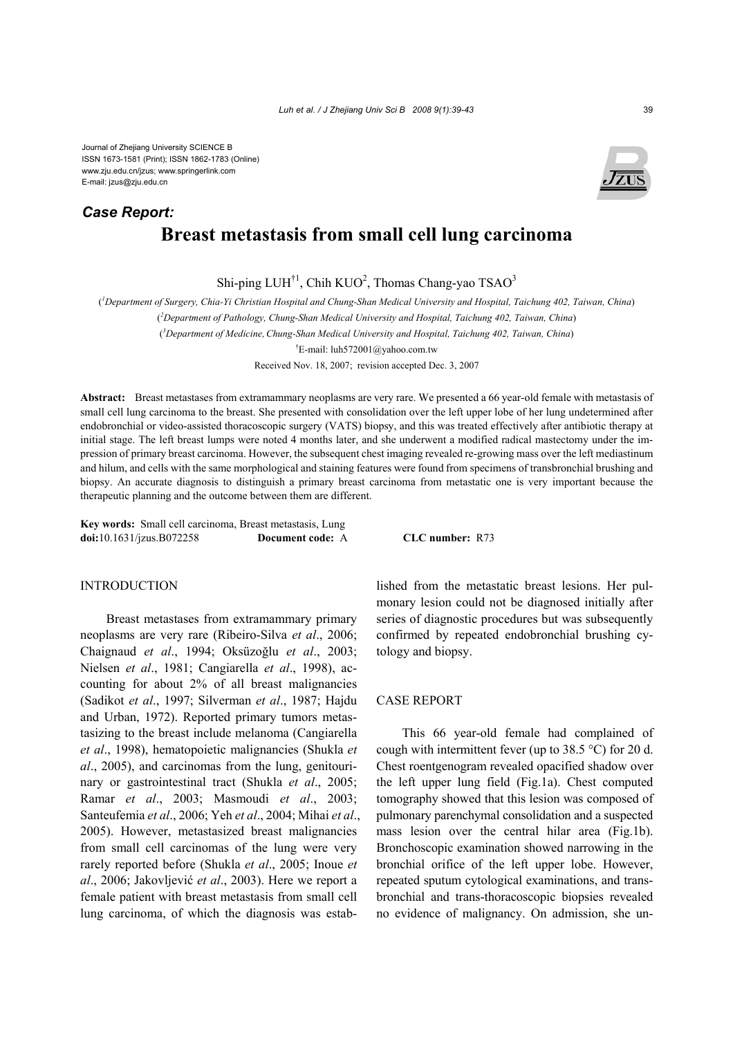Journal of Zhejiang University SCIENCE B ISSN 1673-1581 (Print); ISSN 1862-1783 (Online) www.zju.edu.cn/jzus; www.springerlink.com E-mail: jzus@zju.edu.cn

# **Breast metastasis from small cell lung carcinoma**  *Case Report:*

Shi-ping LUH<sup>†1</sup>, Chih KUO<sup>2</sup>, Thomas Chang-yao TSAO<sup>3</sup>

( *1 Department of Surgery, Chia-Yi Christian Hospital and Chung-Shan Medical University and Hospital, Taichung 402, Taiwan, China*)

( *2 Department of Pathology, Chung-Shan Medical University and Hospital, Taichung 402, Taiwan, China*)

( *3 Department of Medicine,Chung-Shan Medical University and Hospital, Taichung 402, Taiwan, China*)

† E-mail: luh572001@yahoo.com.tw

Received Nov. 18, 2007; revision accepted Dec. 3, 2007

**Abstract:** Breast metastases from extramammary neoplasms are very rare. We presented a 66 year-old female with metastasis of small cell lung carcinoma to the breast. She presented with consolidation over the left upper lobe of her lung undetermined after endobronchial or video-assisted thoracoscopic surgery (VATS) biopsy, and this was treated effectively after antibiotic therapy at initial stage. The left breast lumps were noted 4 months later, and she underwent a modified radical mastectomy under the impression of primary breast carcinoma. However, the subsequent chest imaging revealed re-growing mass over the left mediastinum and hilum, and cells with the same morphological and staining features were found from specimens of transbronchial brushing and biopsy. An accurate diagnosis to distinguish a primary breast carcinoma from metastatic one is very important because the therapeutic planning and the outcome between them are different.

**Key words:** Small cell carcinoma, Breast metastasis, Lung **doi:**10.1631/jzus.B072258 **Document code:** A **CLC number:** R73

## **INTRODUCTION**

Breast metastases from extramammary primary neoplasms are very rare (Ribeiro-Silva *et al*., 2006; Chaignaud *et al*., 1994; Oksüzoğlu *et al*., 2003; Nielsen *et al*., 1981; Cangiarella *et al*., 1998), accounting for about 2% of all breast malignancies (Sadikot *et al*., 1997; Silverman *et al*., 1987; Hajdu and Urban, 1972). Reported primary tumors metastasizing to the breast include melanoma (Cangiarella *et al*., 1998), hematopoietic malignancies (Shukla *et al*., 2005), and carcinomas from the lung, genitourinary or gastrointestinal tract (Shukla *et al*., 2005; Ramar *et al*., 2003; Masmoudi *et al*., 2003; Santeufemia *et al*., 2006; Yeh *et al*., 2004; Mihai *et al*., 2005). However, metastasized breast malignancies from small cell carcinomas of the lung were very rarely reported before (Shukla *et al*., 2005; Inoue *et al*., 2006; Jakovljević *et al*., 2003). Here we report a female patient with breast metastasis from small cell lung carcinoma, of which the diagnosis was established from the metastatic breast lesions. Her pulmonary lesion could not be diagnosed initially after series of diagnostic procedures but was subsequently confirmed by repeated endobronchial brushing cytology and biopsy.

## CASE REPORT

This 66 year-old female had complained of cough with intermittent fever (up to  $38.5$  °C) for 20 d. Chest roentgenogram revealed opacified shadow over the left upper lung field (Fig.1a). Chest computed tomography showed that this lesion was composed of pulmonary parenchymal consolidation and a suspected mass lesion over the central hilar area (Fig.1b). Bronchoscopic examination showed narrowing in the bronchial orifice of the left upper lobe. However, repeated sputum cytological examinations, and transbronchial and trans-thoracoscopic biopsies revealed no evidence of malignancy. On admission, she un-

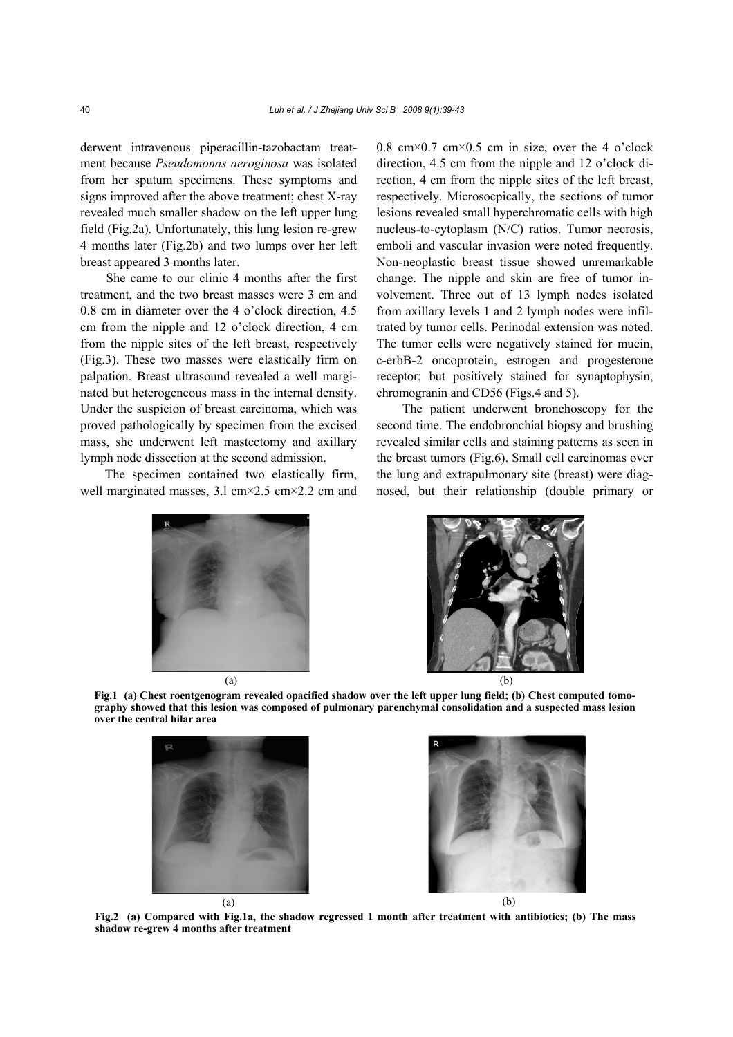derwent intravenous piperacillin-tazobactam treatment because *Pseudomonas aeroginosa* was isolated from her sputum specimens. These symptoms and signs improved after the above treatment; chest X-ray revealed much smaller shadow on the left upper lung field (Fig.2a). Unfortunately, this lung lesion re-grew 4 months later (Fig.2b) and two lumps over her left breast appeared 3 months later.

She came to our clinic 4 months after the first treatment, and the two breast masses were 3 cm and 0.8 cm in diameter over the 4 o'clock direction, 4.5 cm from the nipple and 12 o'clock direction, 4 cm from the nipple sites of the left breast, respectively (Fig.3). These two masses were elastically firm on palpation. Breast ultrasound revealed a well marginated but heterogeneous mass in the internal density. Under the suspicion of breast carcinoma, which was proved pathologically by specimen from the excised mass, she underwent left mastectomy and axillary lymph node dissection at the second admission.

The specimen contained two elastically firm, well marginated masses, 3.l cm×2.5 cm×2.2 cm and 0.8 cm $\times$ 0.7 cm $\times$ 0.5 cm in size, over the 4 o'clock direction, 4.5 cm from the nipple and 12 o'clock direction, 4 cm from the nipple sites of the left breast, respectively. Microsocpically, the sections of tumor lesions revealed small hyperchromatic cells with high nucleus-to-cytoplasm (N/C) ratios. Tumor necrosis, emboli and vascular invasion were noted frequently. Non-neoplastic breast tissue showed unremarkable change. The nipple and skin are free of tumor involvement. Three out of 13 lymph nodes isolated from axillary levels 1 and 2 lymph nodes were infiltrated by tumor cells. Perinodal extension was noted. The tumor cells were negatively stained for mucin, c-erbB-2 oncoprotein, estrogen and progesterone receptor; but positively stained for synaptophysin, chromogranin and CD56 (Figs.4 and 5).

The patient underwent bronchoscopy for the second time. The endobronchial biopsy and brushing revealed similar cells and staining patterns as seen in the breast tumors (Fig.6). Small cell carcinomas over the lung and extrapulmonary site (breast) were diagnosed, but their relationship (double primary or





**Fig.1 (a) Chest roentgenogram revealed opacified shadow over the left upper lung field; (b) Chest computed tomography showed that this lesion was composed of pulmonary parenchymal consolidation and a suspected mass lesion over the central hilar area** 





**Fig.2 (a) Compared with Fig.1a, the shadow regressed 1 month after treatment with antibiotics; (b) The mass shadow re-grew 4 months after treatment**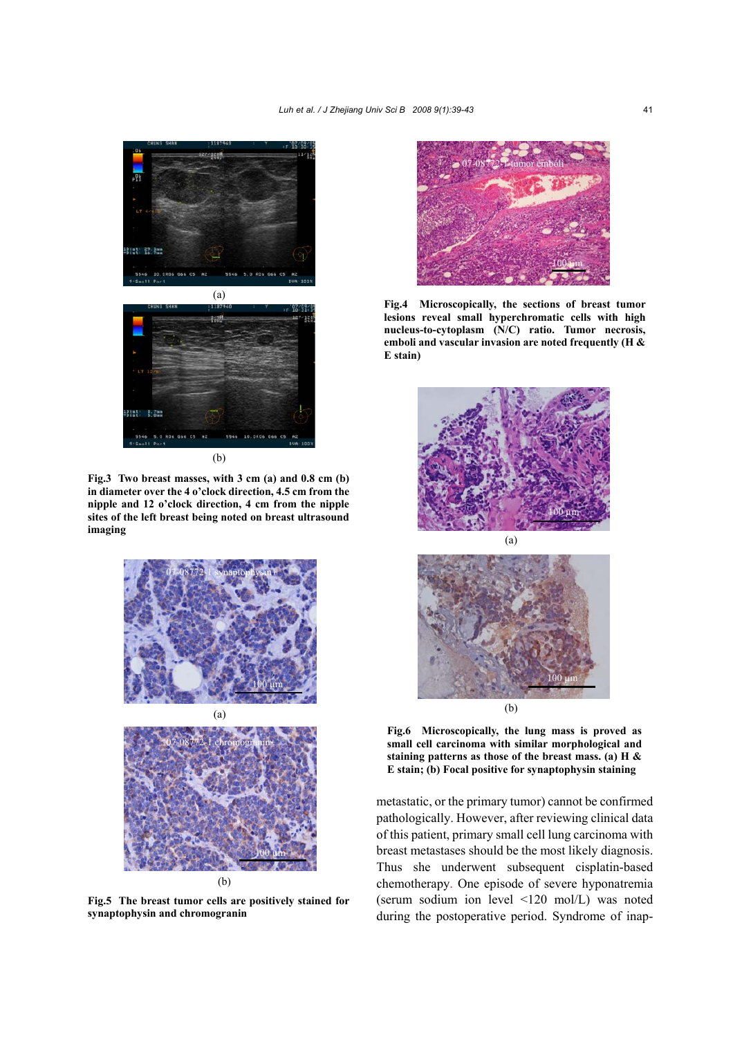

**Fig.3 Two breast masses, with 3 cm (a) and 0.8 cm (b) in diameter over the 4 o'clock direction, 4.5 cm from the nipple and 12 o'clock direction, 4 cm from the nipple sites of the left breast being noted on breast ultrasound imaging** 



**Fig.5 The breast tumor cells are positively stained for synaptophysin and chromogranin** 



**Fig.4 Microscopically, the sections of breast tumor lesions reveal small hyperchromatic cells with high nucleus-to-cytoplasm (N/C) ratio. Tumor necrosis, emboli and vascular invasion are noted frequently (H & E stain)** 





**Fig.6 Microscopically, the lung mass is proved as small cell carcinoma with similar morphological and staining patterns as those of the breast mass. (a) H & E stain; (b) Focal positive for synaptophysin staining**

metastatic, or the primary tumor) cannot be confirmed pathologically. However, after reviewing clinical data of this patient, primary small cell lung carcinoma with breast metastases should be the most likely diagnosis. Thus she underwent subsequent cisplatin-based chemotherapy. One episode of severe hyponatremia (serum sodium ion level <120 mol/L) was noted during the postoperative period. Syndrome of inap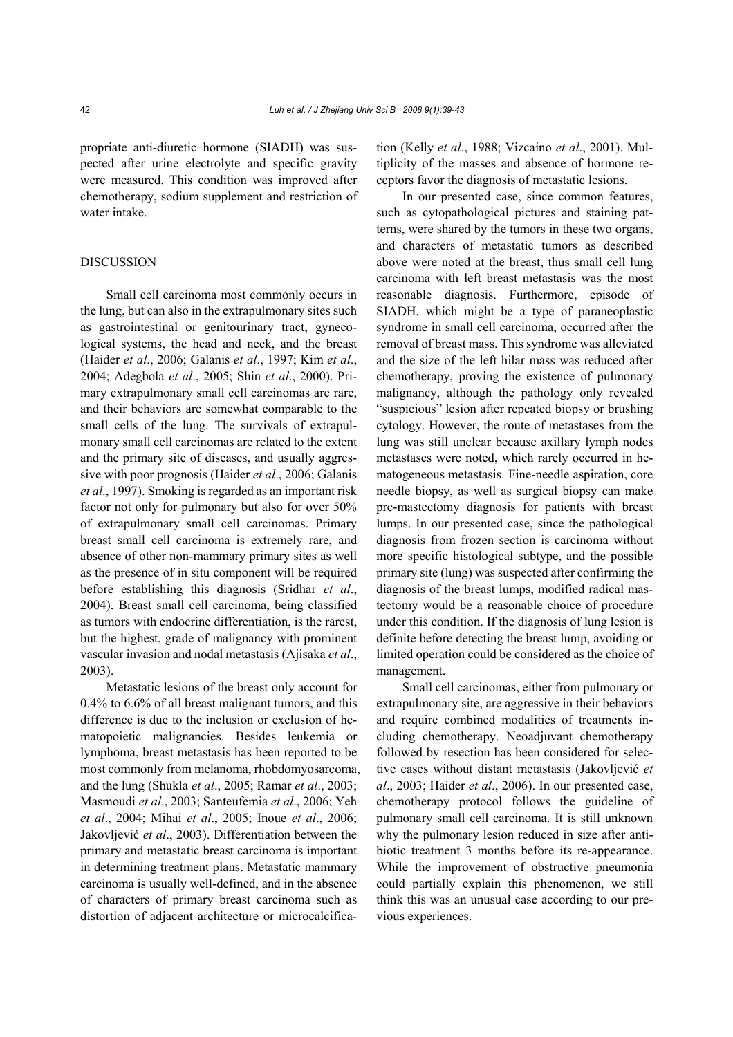propriate anti-diuretic hormone (SIADH) was suspected after urine electrolyte and specific gravity were measured. This condition was improved after chemotherapy, sodium supplement and restriction of water intake.

## DISCUSSION

Small cell carcinoma most commonly occurs in the lung, but can also in the extrapulmonary sites such as gastrointestinal or genitourinary tract, gynecological systems, the head and neck, and the breast (Haider *et al*., 2006; Galanis *et al*., 1997; Kim *et al*., 2004; Adegbola *et al*., 2005; Shin *et al*., 2000). Primary extrapulmonary small cell carcinomas are rare, and their behaviors are somewhat comparable to the small cells of the lung. The survivals of extrapulmonary small cell carcinomas are related to the extent and the primary site of diseases, and usually aggressive with poor prognosis (Haider *et al*., 2006; Galanis *et al*., 1997). Smoking is regarded as an important risk factor not only for pulmonary but also for over 50% of extrapulmonary small cell carcinomas. Primary breast small cell carcinoma is extremely rare, and absence of other non-mammary primary sites as well as the presence of in situ component will be required before establishing this diagnosis (Sridhar *et al*., 2004). Breast small cell carcinoma, being classified as tumors with endocrine differentiation, is the rarest, but the highest, grade of malignancy with prominent vascular invasion and nodal metastasis (Ajisaka *et al*., 2003).

Metastatic lesions of the breast only account for 0.4% to 6.6% of all breast malignant tumors, and this difference is due to the inclusion or exclusion of hematopoietic malignancies. Besides leukemia or lymphoma, breast metastasis has been reported to be most commonly from melanoma, rhobdomyosarcoma, and the lung (Shukla *et al*., 2005; Ramar *et al*., 2003; Masmoudi *et al*., 2003; Santeufemia *et al*., 2006; Yeh *et al*., 2004; Mihai *et al*., 2005; Inoue *et al*., 2006; Jakovljević *et al*., 2003). Differentiation between the primary and metastatic breast carcinoma is important in determining treatment plans. Metastatic mammary carcinoma is usually well-defined, and in the absence of characters of primary breast carcinoma such as distortion of adjacent architecture or microcalcification (Kelly *et al*., 1988; Vizcaíno *et al*., 2001). Multiplicity of the masses and absence of hormone receptors favor the diagnosis of metastatic lesions.

In our presented case, since common features, such as cytopathological pictures and staining patterns, were shared by the tumors in these two organs, and characters of metastatic tumors as described above were noted at the breast, thus small cell lung carcinoma with left breast metastasis was the most reasonable diagnosis. Furthermore, episode of SIADH, which might be a type of paraneoplastic syndrome in small cell carcinoma, occurred after the removal of breast mass. This syndrome was alleviated and the size of the left hilar mass was reduced after chemotherapy, proving the existence of pulmonary malignancy, although the pathology only revealed "suspicious" lesion after repeated biopsy or brushing cytology. However, the route of metastases from the lung was still unclear because axillary lymph nodes metastases were noted, which rarely occurred in hematogeneous metastasis. Fine-needle aspiration, core needle biopsy, as well as surgical biopsy can make pre-mastectomy diagnosis for patients with breast lumps. In our presented case, since the pathological diagnosis from frozen section is carcinoma without more specific histological subtype, and the possible primary site (lung) was suspected after confirming the diagnosis of the breast lumps, modified radical mastectomy would be a reasonable choice of procedure under this condition. If the diagnosis of lung lesion is definite before detecting the breast lump, avoiding or limited operation could be considered as the choice of management.

Small cell carcinomas, either from pulmonary or extrapulmonary site, are aggressive in their behaviors and require combined modalities of treatments including chemotherapy. Neoadjuvant chemotherapy followed by resection has been considered for selective cases without distant metastasis (Jakovljević *et al*., 2003; Haider *et al*., 2006). In our presented case, chemotherapy protocol follows the guideline of pulmonary small cell carcinoma. It is still unknown why the pulmonary lesion reduced in size after antibiotic treatment 3 months before its re-appearance. While the improvement of obstructive pneumonia could partially explain this phenomenon, we still think this was an unusual case according to our previous experiences.